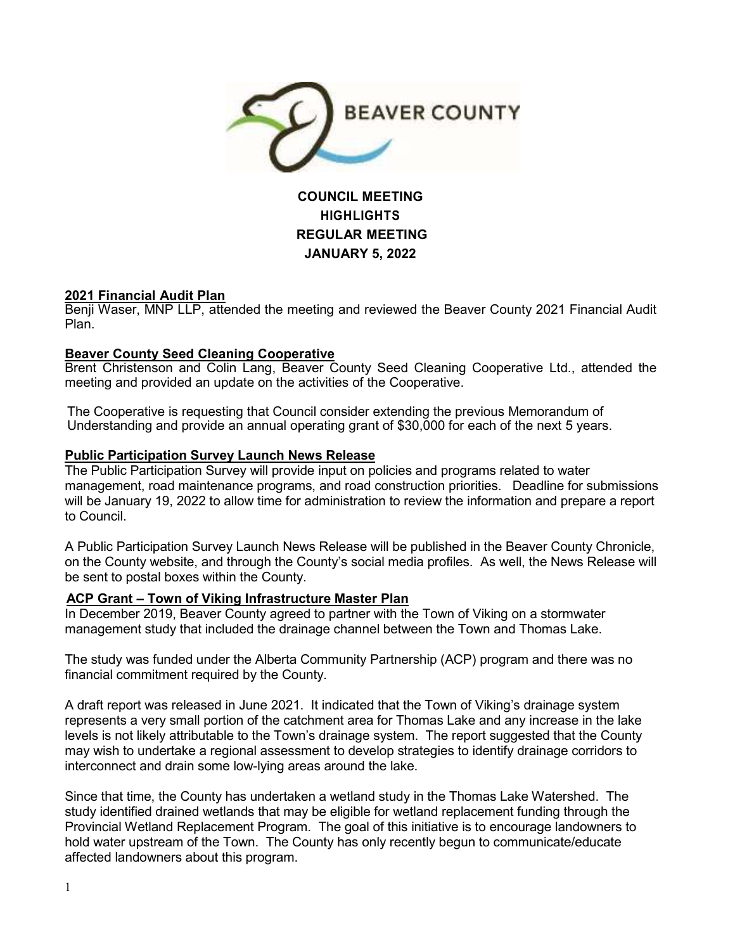

# **COUNCIL MEETING HIGHLIGHTS REGULAR MEETING JANUARY 5, 2022**

## **2021 Financial Audit Plan**

Benji Waser, MNP LLP, attended the meeting and reviewed the Beaver County 2021 Financial Audit Plan.

## **Beaver County Seed Cleaning Cooperative**

Brent Christenson and Colin Lang, Beaver County Seed Cleaning Cooperative Ltd., attended the meeting and provided an update on the activities of the Cooperative.

The Cooperative is requesting that Council consider extending the previous Memorandum of Understanding and provide an annual operating grant of \$30,000 for each of the next 5 years.

## **Public Participation Survey Launch News Release**

The Public Participation Survey will provide input on policies and programs related to water management, road maintenance programs, and road construction priorities. Deadline for submissions will be January 19, 2022 to allow time for administration to review the information and prepare a report to Council.

A Public Participation Survey Launch News Release will be published in the Beaver County Chronicle, on the County website, and through the County's social media profiles. As well, the News Release will be sent to postal boxes within the County.

#### **ACP Grant – Town of Viking Infrastructure Master Plan**

In December 2019, Beaver County agreed to partner with the Town of Viking on a stormwater management study that included the drainage channel between the Town and Thomas Lake.

The study was funded under the Alberta Community Partnership (ACP) program and there was no financial commitment required by the County.

A draft report was released in June 2021. It indicated that the Town of Viking's drainage system represents a very small portion of the catchment area for Thomas Lake and any increase in the lake levels is not likely attributable to the Town's drainage system. The report suggested that the County may wish to undertake a regional assessment to develop strategies to identify drainage corridors to interconnect and drain some low-lying areas around the lake.

Since that time, the County has undertaken a wetland study in the Thomas Lake Watershed. The study identified drained wetlands that may be eligible for wetland replacement funding through the Provincial Wetland Replacement Program. The goal of this initiative is to encourage landowners to hold water upstream of the Town. The County has only recently begun to communicate/educate affected landowners about this program.